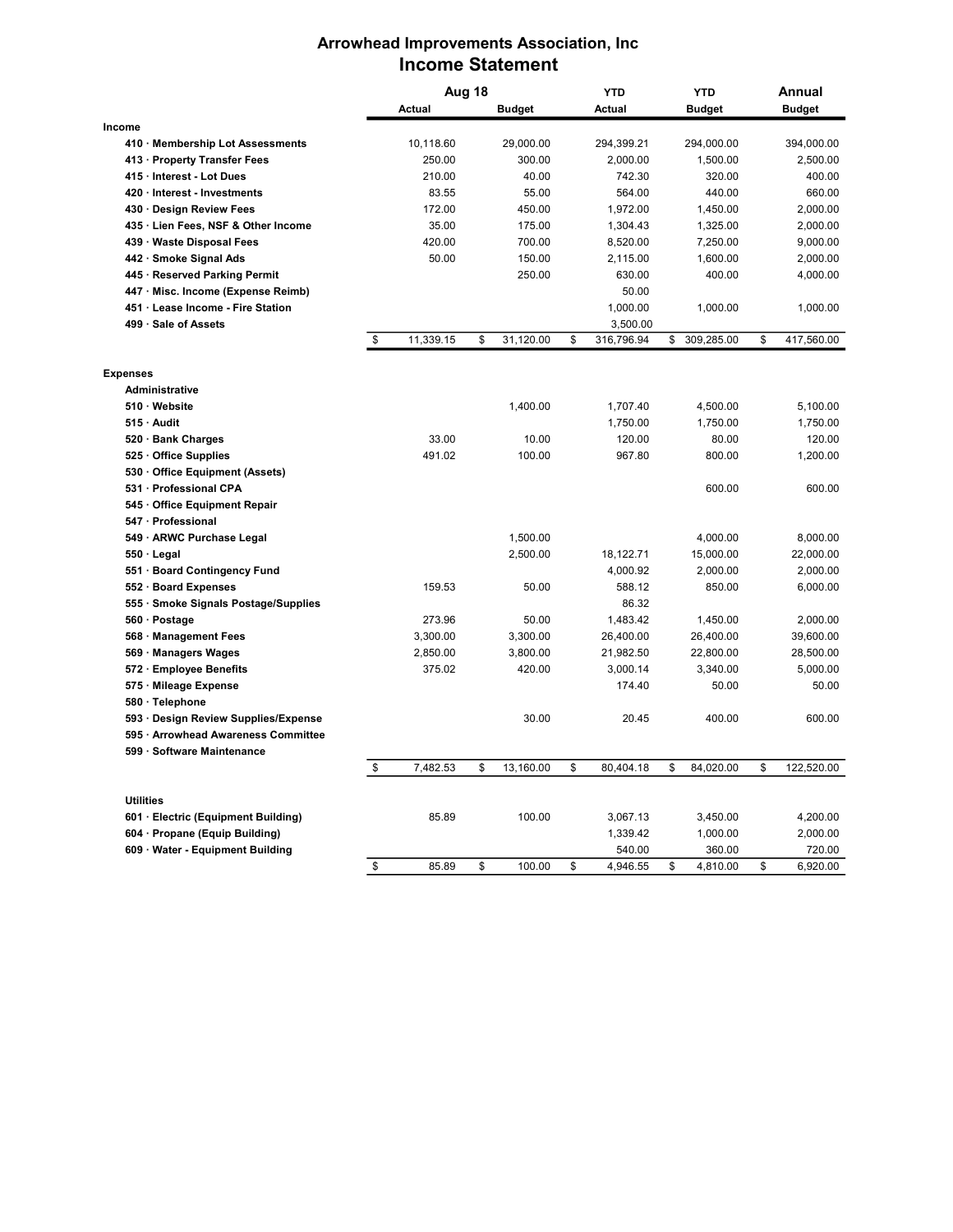## Arrowhead Improvements Association, Inc Income Statement

|                  |                                      | Aug 18 |               |    |               | YTD              | <b>YTD</b> |               | Annual |               |
|------------------|--------------------------------------|--------|---------------|----|---------------|------------------|------------|---------------|--------|---------------|
|                  |                                      |        | <b>Actual</b> |    | <b>Budget</b> | Actual           |            | <b>Budget</b> |        | <b>Budget</b> |
| Income           |                                      |        |               |    |               |                  |            |               |        |               |
|                  | 410 · Membership Lot Assessments     |        | 10,118.60     |    | 29,000.00     | 294,399.21       |            | 294,000.00    |        | 394,000.00    |
|                  | 413 · Property Transfer Fees         |        | 250.00        |    | 300.00        | 2,000.00         |            | 1,500.00      |        | 2,500.00      |
|                  | 415 · Interest - Lot Dues            |        | 210.00        |    | 40.00         | 742.30           |            | 320.00        |        | 400.00        |
|                  | 420 · Interest - Investments         |        | 83.55         |    | 55.00         | 564.00           |            | 440.00        |        | 660.00        |
|                  | 430 · Design Review Fees             |        | 172.00        |    | 450.00        | 1,972.00         |            | 1,450.00      |        | 2,000.00      |
|                  | 435 · Lien Fees, NSF & Other Income  |        | 35.00         |    | 175.00        | 1,304.43         |            | 1,325.00      |        | 2,000.00      |
|                  | 439 · Waste Disposal Fees            |        | 420.00        |    | 700.00        | 8,520.00         |            | 7,250.00      |        | 9,000.00      |
|                  | 442 · Smoke Signal Ads               |        | 50.00         |    | 150.00        | 2,115.00         |            | 1,600.00      |        | 2,000.00      |
|                  | 445 · Reserved Parking Permit        |        |               |    | 250.00        | 630.00           |            | 400.00        |        | 4,000.00      |
|                  | 447 · Misc. Income (Expense Reimb)   |        |               |    |               | 50.00            |            |               |        |               |
|                  | 451 · Lease Income - Fire Station    |        |               |    |               | 1,000.00         |            | 1,000.00      |        | 1,000.00      |
|                  | 499 · Sale of Assets                 |        |               |    |               | 3,500.00         |            |               |        |               |
|                  |                                      | \$     | 11,339.15     | \$ | 31,120.00     | \$<br>316,796.94 | \$         | 309,285.00    | \$     | 417,560.00    |
|                  |                                      |        |               |    |               |                  |            |               |        |               |
| <b>Expenses</b>  | Administrative                       |        |               |    |               |                  |            |               |        |               |
|                  | $510 \cdot$ Website                  |        |               |    | 1,400.00      | 1,707.40         |            | 4,500.00      |        | 5,100.00      |
|                  | $515 \cdot$ Audit                    |        |               |    |               | 1,750.00         |            | 1,750.00      |        | 1,750.00      |
|                  | 520 · Bank Charges                   |        | 33.00         |    | 10.00         | 120.00           |            | 80.00         |        | 120.00        |
|                  | 525 · Office Supplies                |        | 491.02        |    | 100.00        | 967.80           |            | 800.00        |        | 1,200.00      |
|                  | 530 Office Equipment (Assets)        |        |               |    |               |                  |            |               |        |               |
|                  | 531 · Professional CPA               |        |               |    |               |                  |            | 600.00        |        | 600.00        |
|                  | 545 Office Equipment Repair          |        |               |    |               |                  |            |               |        |               |
|                  | 547 · Professional                   |        |               |    |               |                  |            |               |        |               |
|                  | 549 · ARWC Purchase Legal            |        |               |    | 1,500.00      |                  |            | 4,000.00      |        | 8,000.00      |
|                  | $550 \cdot$ Legal                    |        |               |    | 2,500.00      | 18,122.71        |            | 15,000.00     |        | 22,000.00     |
|                  | 551 · Board Contingency Fund         |        |               |    |               | 4,000.92         |            | 2,000.00      |        | 2,000.00      |
|                  | 552 · Board Expenses                 |        | 159.53        |    | 50.00         | 588.12           |            | 850.00        |        | 6,000.00      |
|                  | 555 · Smoke Signals Postage/Supplies |        |               |    |               | 86.32            |            |               |        |               |
|                  | 560 · Postage                        |        | 273.96        |    | 50.00         | 1,483.42         |            | 1,450.00      |        | 2,000.00      |
|                  | 568 · Management Fees                |        | 3,300.00      |    | 3,300.00      | 26,400.00        |            | 26,400.00     |        | 39,600.00     |
|                  | 569 · Managers Wages                 |        | 2,850.00      |    | 3,800.00      | 21,982.50        |            | 22,800.00     |        | 28,500.00     |
|                  | 572 · Employee Benefits              |        | 375.02        |    | 420.00        | 3,000.14         |            | 3,340.00      |        | 5,000.00      |
|                  | 575 · Mileage Expense                |        |               |    |               | 174.40           |            | 50.00         |        | 50.00         |
|                  | 580 · Telephone                      |        |               |    |               |                  |            |               |        |               |
|                  | 593 · Design Review Supplies/Expense |        |               |    | 30.00         | 20.45            |            | 400.00        |        | 600.00        |
|                  | 595 · Arrowhead Awareness Committee  |        |               |    |               |                  |            |               |        |               |
|                  | 599 · Software Maintenance           |        |               |    |               |                  |            |               |        |               |
|                  |                                      | \$     | 7,482.53      | \$ | 13,160.00     | \$<br>80,404.18  | \$         | 84,020.00     | \$     | 122,520.00    |
|                  |                                      |        |               |    |               |                  |            |               |        |               |
| <b>Utilities</b> | 601 · Electric (Equipment Building)  |        | 85.89         |    | 100.00        | 3,067.13         |            | 3,450.00      |        | 4,200.00      |
|                  | 604 · Propane (Equip Building)       |        |               |    |               | 1,339.42         |            | 1,000.00      |        | 2,000.00      |
|                  | 609 · Water - Equipment Building     |        |               |    |               | 540.00           |            | 360.00        |        | 720.00        |
|                  |                                      | \$     | 85.89         | \$ | 100.00        | \$<br>4,946.55   | \$         | 4,810.00      | \$     | 6,920.00      |